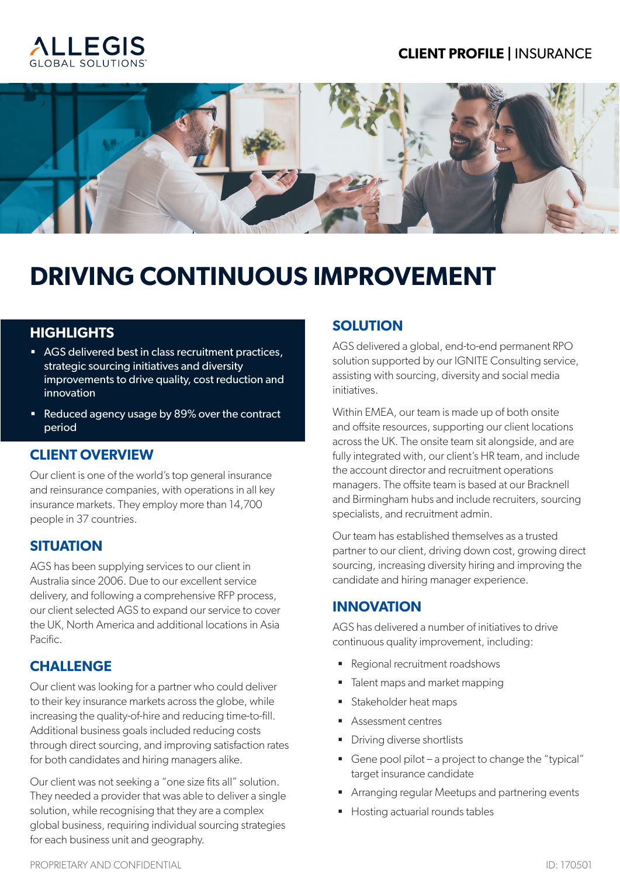### **CLIENT PROFILE |** INSURANCE





# **DRIVING CONTINUOUS IMPROVEMENT**

#### **HIGHLIGHTS**

- AGS delivered best in class recruitment practices, strategic sourcing initiatives and diversity improvements to drive quality, cost reduction and innovation
- Reduced agency usage by 89% over the contract period

# **CLIENT OVERVIEW**

Our client is one of the world's top general insurance and reinsurance companies, with operations in all key insurance markets. They employ more than 14,700 people in 37 countries.

# **SITUATION**

AGS has been supplying services to our client in Australia since 2006. Due to our excellent service delivery, and following a comprehensive RFP process, our client selected AGS to expand our service to cover the UK, North America and additional locations in Asia Pacific.

# **CHALLENGE**

Our client was looking for a partner who could deliver to their key insurance markets across the globe, while increasing the quality-of-hire and reducing time-to-fill. Additional business goals included reducing costs through direct sourcing, and improving satisfaction rates for both candidates and hiring managers alike.

Our client was not seeking a "one size fits all" solution. They needed a provider that was able to deliver a single solution, while recognising that they are a complex global business, requiring individual sourcing strategies for each business unit and geography.

# **SOLUTION**

AGS delivered a global, end-to-end permanent RPO solution supported by our IGNITE Consulting service, assisting with sourcing, diversity and social media initiatives.

Within EMEA, our team is made up of both onsite and offsite resources, supporting our client locations across the UK. The onsite team sit alongside, and are fully integrated with, our client's HR team, and include the account director and recruitment operations managers. The offsite team is based at our Bracknell and Birmingham hubs and include recruiters, sourcing specialists, and recruitment admin.

Our team has established themselves as a trusted partner to our client, driving down cost, growing direct sourcing, increasing diversity hiring and improving the candidate and hiring manager experience.

# **INNOVATION**

AGS has delivered a number of initiatives to drive continuous quality improvement, including:

- Regional recruitment roadshows
- Talent maps and market mapping
- **E** Stakeholder heat maps
- Assessment centres
- **•** Driving diverse shortlists
- Gene pool pilot a project to change the "typical" target insurance candidate
- **EXP** Arranging regular Meetups and partnering events
- **E** Hosting actuarial rounds tables